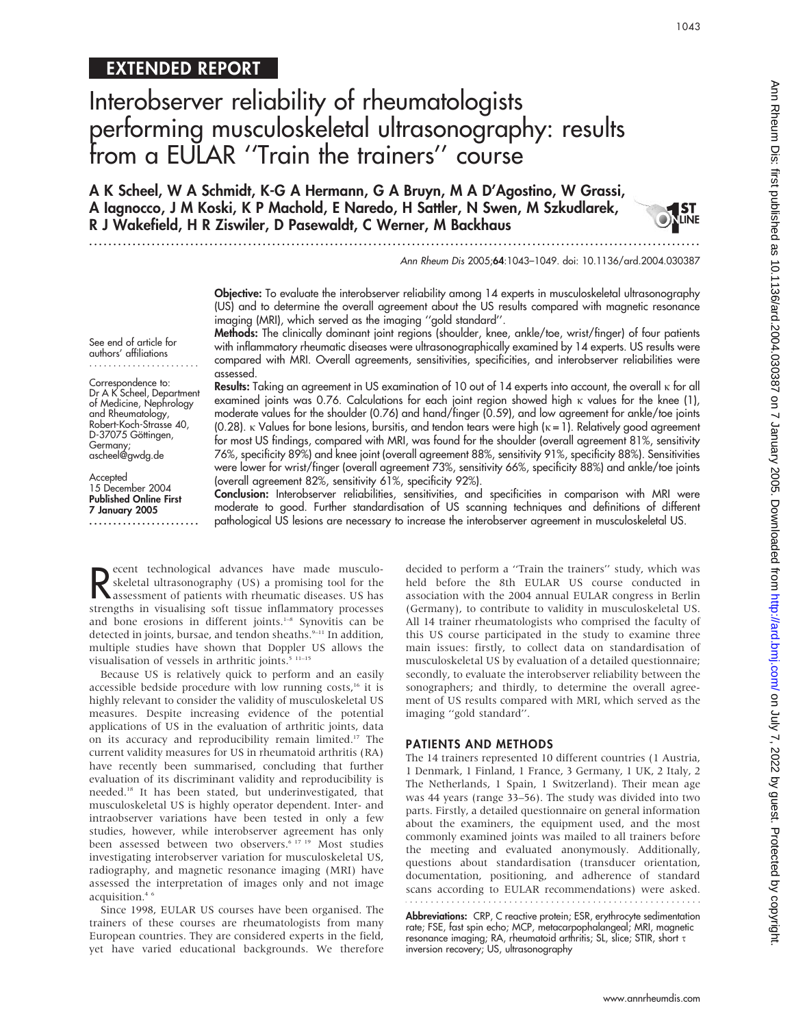# EXTENDED REPORT

# Interobserver reliability of rheumatologists performing musculoskeletal ultrasonography: results from a EULAR ''Train the trainers'' course

A K Scheel, W A Schmidt, K-G A Hermann, G A Bruyn, M A D'Agostino, W Grassi, A Iagnocco, J M Koski, K P Machold, E Naredo, H Sattler, N Swen, M Szkudlarek, R J Wakefield, H R Ziswiler, D Pasewaldt, C Werner, M Backhaus

...............................................................................................................................

Ann Rheum Dis 2005;64:1043–1049. doi: 10.1136/ard.2004.030387

1043

LINE

Objective: To evaluate the interobserver reliability among 14 experts in musculoskeletal ultrasonography (US) and to determine the overall agreement about the US results compared with magnetic resonance imaging (MRI), which served as the imaging ''gold standard''.

See end of article for authors' affiliations .......................

#### Correspondence to: Dr A K Scheel, Department of Medicine, Nephrology and Rheumatology, Robert-Koch-Strasse 40, D-37075 Göttingen,

Germany; ascheel@gwdg.de

Accepted 15 December 2004 Published Online First 7 January 2005 .......................

Methods: The clinically dominant joint regions (shoulder, knee, ankle/toe, wrist/finger) of four patients with inflammatory rheumatic diseases were ultrasonographically examined by 14 experts. US results were compared with MRI. Overall agreements, sensitivities, specificities, and interobserver reliabilities were assessed.

Results: Taking an agreement in US examination of 10 out of 14 experts into account, the overall  $\kappa$  for all examined joints was 0.76. Calculations for each joint region showed high  $\kappa$  values for the knee (1), moderate values for the shoulder (0.76) and hand/finger (0.59), and low agreement for ankle/toe joints (0.28).  $\kappa$  Values for bone lesions, bursitis, and tendon tears were high ( $\kappa = 1$ ). Relatively good agreement for most US findings, compared with MRI, was found for the shoulder (overall agreement 81%, sensitivity 76%, specificity 89%) and knee joint (overall agreement 88%, sensitivity 91%, specificity 88%). Sensitivities were lower for wrist/finger (overall agreement 73%, sensitivity 66%, specificity 88%) and ankle/toe joints (overall agreement 82%, sensitivity 61%, specificity 92%).

Conclusion: Interobserver reliabilities, sensitivities, and specificities in comparison with MRI were moderate to good. Further standardisation of US scanning techniques and definitions of different pathological US lesions are necessary to increase the interobserver agreement in musculoskeletal US.

Reflected utrasonography (US) a promising tool for the<br>
assessment of patients with rheumatic diseases. US has<br>
astronathe in visualising off tissue inflammatory processes ecent technological advances have made musculoskeletal ultrasonography (US) a promising tool for the strengths in visualising soft tissue inflammatory processes and bone erosions in different joints.<sup>1-8</sup> Synovitis can be detected in joints, bursae, and tendon sheaths. $9-11$  In addition, multiple studies have shown that Doppler US allows the visualisation of vessels in arthritic joints.<sup>5</sup> 11-15

Because US is relatively quick to perform and an easily accessible bedside procedure with low running costs,<sup>16</sup> it is highly relevant to consider the validity of musculoskeletal US measures. Despite increasing evidence of the potential applications of US in the evaluation of arthritic joints, data on its accuracy and reproducibility remain limited.<sup>17</sup> The current validity measures for US in rheumatoid arthritis (RA) have recently been summarised, concluding that further evaluation of its discriminant validity and reproducibility is needed.18 It has been stated, but underinvestigated, that musculoskeletal US is highly operator dependent. Inter- and intraobserver variations have been tested in only a few studies, however, while interobserver agreement has only been assessed between two observers.<sup>6 17 19</sup> Most studies investigating interobserver variation for musculoskeletal US, radiography, and magnetic resonance imaging (MRI) have assessed the interpretation of images only and not image acquisition.<sup>4</sup>

Since 1998, EULAR US courses have been organised. The trainers of these courses are rheumatologists from many European countries. They are considered experts in the field, yet have varied educational backgrounds. We therefore

decided to perform a ''Train the trainers'' study, which was held before the 8th EULAR US course conducted in association with the 2004 annual EULAR congress in Berlin (Germany), to contribute to validity in musculoskeletal US. All 14 trainer rheumatologists who comprised the faculty of this US course participated in the study to examine three main issues: firstly, to collect data on standardisation of musculoskeletal US by evaluation of a detailed questionnaire; secondly, to evaluate the interobserver reliability between the sonographers; and thirdly, to determine the overall agreement of US results compared with MRI, which served as the imaging ''gold standard''.

#### PATIENTS AND METHODS

The 14 trainers represented 10 different countries (1 Austria, 1 Denmark, 1 Finland, 1 France, 3 Germany, 1 UK, 2 Italy, 2 The Netherlands, 1 Spain, 1 Switzerland). Their mean age was 44 years (range 33–56). The study was divided into two parts. Firstly, a detailed questionnaire on general information about the examiners, the equipment used, and the most commonly examined joints was mailed to all trainers before the meeting and evaluated anonymously. Additionally, questions about standardisation (transducer orientation, documentation, positioning, and adherence of standard scans according to EULAR recommendations) were asked.

Abbreviations: CRP, C reactive protein; ESR, erythrocyte sedimentation rate; FSE, fast spin echo; MCP, metacarpophalangeal; MRI, magnetic resonance imaging; RA, rheumatoid arthritis; SL, slice; STIR, short t inversion recovery; US, ultrasonography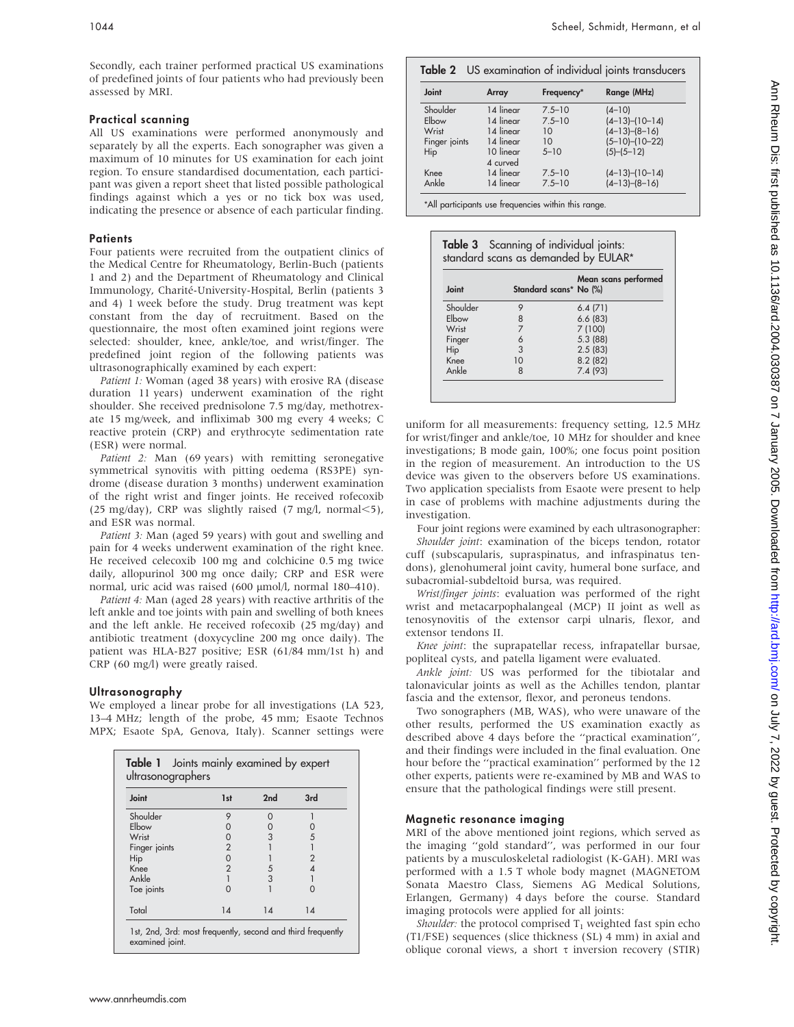Secondly, each trainer performed practical US examinations of predefined joints of four patients who had previously been assessed by MRI.

### Practical scanning

All US examinations were performed anonymously and separately by all the experts. Each sonographer was given a maximum of 10 minutes for US examination for each joint region. To ensure standardised documentation, each participant was given a report sheet that listed possible pathological findings against which a yes or no tick box was used, indicating the presence or absence of each particular finding.

#### **Patients**

Four patients were recruited from the outpatient clinics of the Medical Centre for Rheumatology, Berlin-Buch (patients 1 and 2) and the Department of Rheumatology and Clinical Immunology, Charité-University-Hospital, Berlin (patients 3 and 4) 1 week before the study. Drug treatment was kept constant from the day of recruitment. Based on the questionnaire, the most often examined joint regions were selected: shoulder, knee, ankle/toe, and wrist/finger. The predefined joint region of the following patients was ultrasonographically examined by each expert:

Patient 1: Woman (aged 38 years) with erosive RA (disease duration 11 years) underwent examination of the right shoulder. She received prednisolone 7.5 mg/day, methotrexate 15 mg/week, and infliximab 300 mg every 4 weeks; C reactive protein (CRP) and erythrocyte sedimentation rate (ESR) were normal.

Patient 2: Man (69 years) with remitting seronegative symmetrical synovitis with pitting oedema (RS3PE) syndrome (disease duration 3 months) underwent examination of the right wrist and finger joints. He received rofecoxib (25 mg/day), CRP was slightly raised (7 mg/l, normal $\leq$ 5), and ESR was normal.

Patient 3: Man (aged 59 years) with gout and swelling and pain for 4 weeks underwent examination of the right knee. He received celecoxib 100 mg and colchicine 0.5 mg twice daily, allopurinol 300 mg once daily; CRP and ESR were normal, uric acid was raised (600 µmol/l, normal 180-410).

Patient 4: Man (aged 28 years) with reactive arthritis of the left ankle and toe joints with pain and swelling of both knees and the left ankle. He received rofecoxib (25 mg/day) and antibiotic treatment (doxycycline 200 mg once daily). The patient was HLA-B27 positive; ESR (61/84 mm/1st h) and CRP (60 mg/l) were greatly raised.

## Ultrasonography

We employed a linear probe for all investigations (LA 523, 13–4 MHz; length of the probe, 45 mm; Esaote Technos MPX; Esaote SpA, Genova, Italy). Scanner settings were

| Joint         | 1st            | 2nd | 3rd           |
|---------------|----------------|-----|---------------|
| Shoulder      | 9              |     |               |
| Elbow         |                |     |               |
| Wrist         |                | 3   | 5             |
| Finger joints | $\overline{2}$ |     |               |
| Hip           | $\Omega$       |     | $\mathcal{P}$ |
| Knee          | $\overline{2}$ | 5   |               |
| Ankle         |                | 3   |               |
| Toe joints    | Ω              |     |               |
| Total         | 14             | 14  | 14            |

| Table 2 US examination of individual joints transducers |           |            |                      |  |  |
|---------------------------------------------------------|-----------|------------|----------------------|--|--|
| Joint                                                   | Array     | Frequency* | Range (MHz)          |  |  |
| Shoulder                                                | 14 linear | $7.5 - 10$ | $(4 - 10)$           |  |  |
| Elbow                                                   | 14 linear | $7.5 - 10$ | $(4-13)$ - $(10-14)$ |  |  |
| Wrist                                                   | 14 linear | 10         | $(4-13)$ - $(8-16)$  |  |  |
| Finger joints                                           | 14 linear | 10         | $(5-10)$ - $(10-22)$ |  |  |
| Hip                                                     | 10 linear | $5 - 10$   | $(5)$ - $(5$ - $12)$ |  |  |
|                                                         | 4 curved  |            |                      |  |  |
| Knee                                                    | 14 linear | $7.5 - 10$ | $(4-13)$ - $(10-14)$ |  |  |
| Ankle                                                   | 14 linear | $7.5 - 10$ | $(4-13)$ - $(8-16)$  |  |  |
|                                                         |           |            |                      |  |  |

\*All participants use frequencies within this range.

| Joint    |    | Mean scans performed<br>Standard scans* No (%) |  |  |  |  |
|----------|----|------------------------------------------------|--|--|--|--|
| Shoulder | 9  | 6.4(71)                                        |  |  |  |  |
| Elbow    | 8  | 6.6(83)                                        |  |  |  |  |
| Wrist    |    | 7(100)                                         |  |  |  |  |
| Finger   | 6  | 5.3(88)                                        |  |  |  |  |
| Hip      | 3  | 2.5(83)                                        |  |  |  |  |
| Knee     | 10 | 8.2(82)                                        |  |  |  |  |
| Ankle    | 8  | 7.4(93)                                        |  |  |  |  |

uniform for all measurements: frequency setting, 12.5 MHz for wrist/finger and ankle/toe, 10 MHz for shoulder and knee investigations; B mode gain, 100%; one focus point position in the region of measurement. An introduction to the US device was given to the observers before US examinations. Two application specialists from Esaote were present to help in case of problems with machine adjustments during the investigation.

Four joint regions were examined by each ultrasonographer: Shoulder joint: examination of the biceps tendon, rotator cuff (subscapularis, supraspinatus, and infraspinatus tendons), glenohumeral joint cavity, humeral bone surface, and subacromial-subdeltoid bursa, was required.

Wrist/finger joints: evaluation was performed of the right wrist and metacarpophalangeal (MCP) II joint as well as tenosynovitis of the extensor carpi ulnaris, flexor, and extensor tendons II.

Knee joint: the suprapatellar recess, infrapatellar bursae, popliteal cysts, and patella ligament were evaluated.

Ankle joint: US was performed for the tibiotalar and talonavicular joints as well as the Achilles tendon, plantar fascia and the extensor, flexor, and peroneus tendons.

Two sonographers (MB, WAS), who were unaware of the other results, performed the US examination exactly as described above 4 days before the ''practical examination'', and their findings were included in the final evaluation. One hour before the ''practical examination'' performed by the 12 other experts, patients were re-examined by MB and WAS to ensure that the pathological findings were still present.

#### Magnetic resonance imaging

MRI of the above mentioned joint regions, which served as the imaging ''gold standard'', was performed in our four patients by a musculoskeletal radiologist (K-GAH). MRI was performed with a 1.5 T whole body magnet (MAGNETOM Sonata Maestro Class, Siemens AG Medical Solutions, Erlangen, Germany) 4 days before the course. Standard imaging protocols were applied for all joints:

Shoulder: the protocol comprised  $T_1$  weighted fast spin echo (T1/FSE) sequences (slice thickness (SL) 4 mm) in axial and oblique coronal views, a short  $\tau$  inversion recovery (STIR)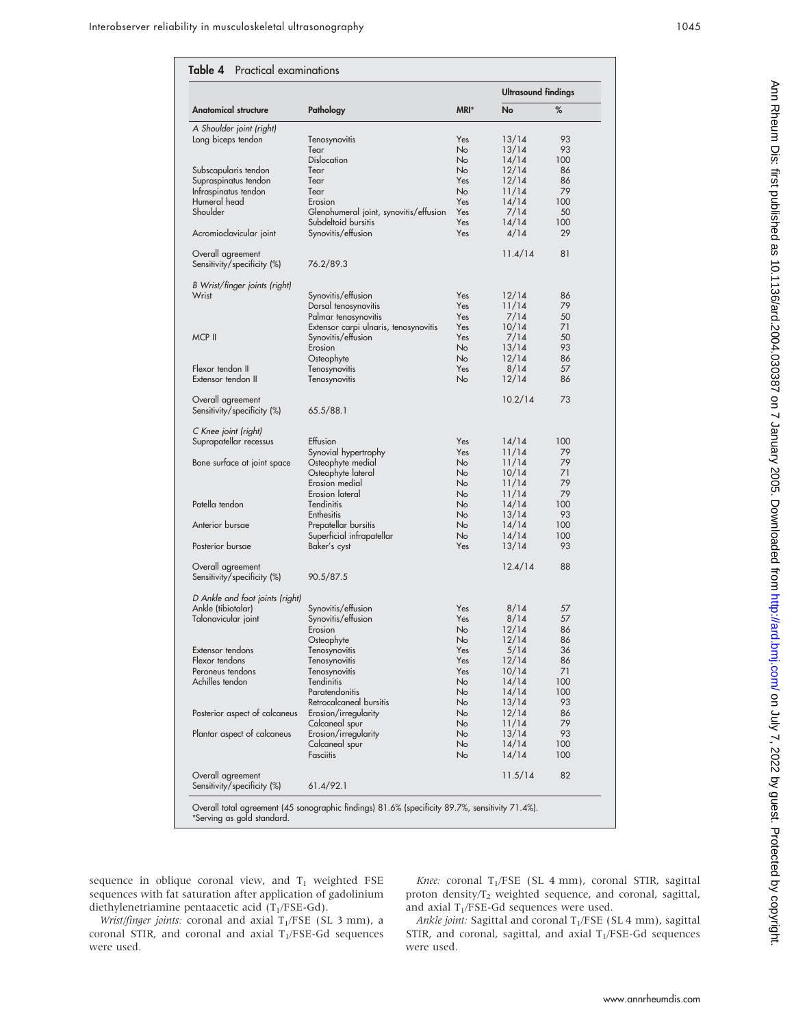| %<br>MRI*<br>Pathology<br>No<br>Yes<br>13/14<br>93<br>Tenosynovitis<br><b>No</b><br>93<br>Tear<br>13/14<br><b>Dislocation</b><br><b>No</b><br>14/14<br>100<br><b>No</b><br>12/14<br>Tear<br>86<br>Supraspinatus tendon<br>Yes<br>Tear<br>12/14<br>86<br>11/14<br>79<br>Infraspinatus tendon<br>Tear<br>No.<br>Humeral head<br>Yes<br>14/14<br>100<br>Erosion<br>Shoulder<br>Yes<br>7/14<br>Glenohumeral joint, synovitis/effusion<br>50<br>Subdeltoid bursitis<br>Yes<br>14/14<br>100<br>29<br>Yes<br>4/14<br>Acromioclavicular joint<br>Synovitis/effusion<br>11.4/14<br>81<br>Overall agreement<br>Sensitivity/specificity (%)<br>76.2/89.3<br>Synovitis/effusion<br>Yes<br>12/14<br>86<br>Yes<br>11/14<br>79<br>Dorsal tenosynovitis<br>Palmar tenosynovitis<br>Yes<br>7/14<br>50<br>Yes<br>10/14<br>Extensor carpi ulnaris, tenosynovitis<br>71<br>MCP II<br>Yes<br>7/14<br>50<br>Synovitis/effusion<br><b>No</b><br>93<br>Erosion<br>13/14<br><b>No</b><br>12/14<br>Osteophyte<br>86<br>Flexor tendon II<br>Yes<br>8/14<br>57<br>Tenosynovitis<br>Extensor tendon II<br>No<br>12/14<br>86<br>Tenosynovitis<br>10.2/14<br>73<br>65.5/88.1<br>Effusion<br>Yes<br>Suprapatellar recessus<br>14/14<br>100<br>Synovial hypertrophy<br>Yes<br>11/14<br>79<br><b>No</b><br>11/14<br>79<br>Bone surface at joint space<br>Osteophyte medial<br>Osteophyte lateral<br><b>No</b><br>10/14<br>71<br>Erosion medial<br><b>No</b><br>11/14<br>79<br>79<br>Erosion lateral<br>11/14<br>No<br>Patella tendon<br>Tendinitis<br><b>No</b><br>14/14<br>100<br><b>No</b><br>13/14<br>93<br>Enthesitis<br>Anterior bursae<br>14/14<br>Prepatellar bursitis<br>No<br>100<br><b>No</b><br>100<br>Superficial infrapatellar<br>14/14<br>Posterior bursae<br>Yes<br>93<br>Baker's cyst<br>13/14<br>12.4/14<br>88<br>Overall agreement<br>90.5/87.5<br>Ankle (tibiotalar)<br>Yes<br>Synovitis/effusion<br>8/14<br>57<br>Synovitis/effusion<br>8/14<br>57<br>Talonavicular joint<br>Yes<br>No<br>12/14<br>Erosion<br>86<br>Osteophyte<br>No<br>12/14<br>86<br>Extensor tendons<br>Tenosynovitis<br>Yes<br>5/14<br>36<br>12/14<br>Flexor tendons<br>Tenosynovitis<br>Yes<br>86<br>Peroneus tendons<br>Yes<br>10/14<br>71<br>Tenosynovitis<br>Achilles tendon<br>Tendinitis<br>No<br>14/14<br>100<br>Paratendonitis<br>No<br>14/14<br>100<br>Retrocalcaneal bursitis<br>No<br>13/14<br>93<br>12/14<br>Erosion/irregularity<br>No<br>86<br>79<br>No<br>11/14<br>Calcaneal spur<br>13/14<br>93<br>Erosion/irregularity<br>No<br>14/14<br>No<br>100<br>Calcaneal spur<br>Fasciitis<br>No<br>14/14<br>100<br>82<br>Overall agreement<br>11.5/14<br>Sensitivity/specificity (%)<br>61.4/92.1<br>Overall total agreement (45 sonographic findings) 81.6% (specificity 89.7%, sensitivity 71.4%). |                                                  |  | <b>Ultrasound findings</b> |  |
|---------------------------------------------------------------------------------------------------------------------------------------------------------------------------------------------------------------------------------------------------------------------------------------------------------------------------------------------------------------------------------------------------------------------------------------------------------------------------------------------------------------------------------------------------------------------------------------------------------------------------------------------------------------------------------------------------------------------------------------------------------------------------------------------------------------------------------------------------------------------------------------------------------------------------------------------------------------------------------------------------------------------------------------------------------------------------------------------------------------------------------------------------------------------------------------------------------------------------------------------------------------------------------------------------------------------------------------------------------------------------------------------------------------------------------------------------------------------------------------------------------------------------------------------------------------------------------------------------------------------------------------------------------------------------------------------------------------------------------------------------------------------------------------------------------------------------------------------------------------------------------------------------------------------------------------------------------------------------------------------------------------------------------------------------------------------------------------------------------------------------------------------------------------------------------------------------------------------------------------------------------------------------------------------------------------------------------------------------------------------------------------------------------------------------------------------------------------------------------------------------------------------------------------------------------------------------------------------------------------------------------------------------------------------------------------------------------------------------------------------------------------------|--------------------------------------------------|--|----------------------------|--|
|                                                                                                                                                                                                                                                                                                                                                                                                                                                                                                                                                                                                                                                                                                                                                                                                                                                                                                                                                                                                                                                                                                                                                                                                                                                                                                                                                                                                                                                                                                                                                                                                                                                                                                                                                                                                                                                                                                                                                                                                                                                                                                                                                                                                                                                                                                                                                                                                                                                                                                                                                                                                                                                                                                                                                                     | Anatomical structure                             |  |                            |  |
|                                                                                                                                                                                                                                                                                                                                                                                                                                                                                                                                                                                                                                                                                                                                                                                                                                                                                                                                                                                                                                                                                                                                                                                                                                                                                                                                                                                                                                                                                                                                                                                                                                                                                                                                                                                                                                                                                                                                                                                                                                                                                                                                                                                                                                                                                                                                                                                                                                                                                                                                                                                                                                                                                                                                                                     | A Shoulder joint (right)                         |  |                            |  |
|                                                                                                                                                                                                                                                                                                                                                                                                                                                                                                                                                                                                                                                                                                                                                                                                                                                                                                                                                                                                                                                                                                                                                                                                                                                                                                                                                                                                                                                                                                                                                                                                                                                                                                                                                                                                                                                                                                                                                                                                                                                                                                                                                                                                                                                                                                                                                                                                                                                                                                                                                                                                                                                                                                                                                                     | Long biceps tendon                               |  |                            |  |
|                                                                                                                                                                                                                                                                                                                                                                                                                                                                                                                                                                                                                                                                                                                                                                                                                                                                                                                                                                                                                                                                                                                                                                                                                                                                                                                                                                                                                                                                                                                                                                                                                                                                                                                                                                                                                                                                                                                                                                                                                                                                                                                                                                                                                                                                                                                                                                                                                                                                                                                                                                                                                                                                                                                                                                     |                                                  |  |                            |  |
|                                                                                                                                                                                                                                                                                                                                                                                                                                                                                                                                                                                                                                                                                                                                                                                                                                                                                                                                                                                                                                                                                                                                                                                                                                                                                                                                                                                                                                                                                                                                                                                                                                                                                                                                                                                                                                                                                                                                                                                                                                                                                                                                                                                                                                                                                                                                                                                                                                                                                                                                                                                                                                                                                                                                                                     |                                                  |  |                            |  |
|                                                                                                                                                                                                                                                                                                                                                                                                                                                                                                                                                                                                                                                                                                                                                                                                                                                                                                                                                                                                                                                                                                                                                                                                                                                                                                                                                                                                                                                                                                                                                                                                                                                                                                                                                                                                                                                                                                                                                                                                                                                                                                                                                                                                                                                                                                                                                                                                                                                                                                                                                                                                                                                                                                                                                                     | Subscapularis tendon                             |  |                            |  |
|                                                                                                                                                                                                                                                                                                                                                                                                                                                                                                                                                                                                                                                                                                                                                                                                                                                                                                                                                                                                                                                                                                                                                                                                                                                                                                                                                                                                                                                                                                                                                                                                                                                                                                                                                                                                                                                                                                                                                                                                                                                                                                                                                                                                                                                                                                                                                                                                                                                                                                                                                                                                                                                                                                                                                                     |                                                  |  |                            |  |
|                                                                                                                                                                                                                                                                                                                                                                                                                                                                                                                                                                                                                                                                                                                                                                                                                                                                                                                                                                                                                                                                                                                                                                                                                                                                                                                                                                                                                                                                                                                                                                                                                                                                                                                                                                                                                                                                                                                                                                                                                                                                                                                                                                                                                                                                                                                                                                                                                                                                                                                                                                                                                                                                                                                                                                     |                                                  |  |                            |  |
|                                                                                                                                                                                                                                                                                                                                                                                                                                                                                                                                                                                                                                                                                                                                                                                                                                                                                                                                                                                                                                                                                                                                                                                                                                                                                                                                                                                                                                                                                                                                                                                                                                                                                                                                                                                                                                                                                                                                                                                                                                                                                                                                                                                                                                                                                                                                                                                                                                                                                                                                                                                                                                                                                                                                                                     |                                                  |  |                            |  |
|                                                                                                                                                                                                                                                                                                                                                                                                                                                                                                                                                                                                                                                                                                                                                                                                                                                                                                                                                                                                                                                                                                                                                                                                                                                                                                                                                                                                                                                                                                                                                                                                                                                                                                                                                                                                                                                                                                                                                                                                                                                                                                                                                                                                                                                                                                                                                                                                                                                                                                                                                                                                                                                                                                                                                                     |                                                  |  |                            |  |
|                                                                                                                                                                                                                                                                                                                                                                                                                                                                                                                                                                                                                                                                                                                                                                                                                                                                                                                                                                                                                                                                                                                                                                                                                                                                                                                                                                                                                                                                                                                                                                                                                                                                                                                                                                                                                                                                                                                                                                                                                                                                                                                                                                                                                                                                                                                                                                                                                                                                                                                                                                                                                                                                                                                                                                     |                                                  |  |                            |  |
|                                                                                                                                                                                                                                                                                                                                                                                                                                                                                                                                                                                                                                                                                                                                                                                                                                                                                                                                                                                                                                                                                                                                                                                                                                                                                                                                                                                                                                                                                                                                                                                                                                                                                                                                                                                                                                                                                                                                                                                                                                                                                                                                                                                                                                                                                                                                                                                                                                                                                                                                                                                                                                                                                                                                                                     |                                                  |  |                            |  |
|                                                                                                                                                                                                                                                                                                                                                                                                                                                                                                                                                                                                                                                                                                                                                                                                                                                                                                                                                                                                                                                                                                                                                                                                                                                                                                                                                                                                                                                                                                                                                                                                                                                                                                                                                                                                                                                                                                                                                                                                                                                                                                                                                                                                                                                                                                                                                                                                                                                                                                                                                                                                                                                                                                                                                                     |                                                  |  |                            |  |
|                                                                                                                                                                                                                                                                                                                                                                                                                                                                                                                                                                                                                                                                                                                                                                                                                                                                                                                                                                                                                                                                                                                                                                                                                                                                                                                                                                                                                                                                                                                                                                                                                                                                                                                                                                                                                                                                                                                                                                                                                                                                                                                                                                                                                                                                                                                                                                                                                                                                                                                                                                                                                                                                                                                                                                     | B Wrist/finger joints (right)                    |  |                            |  |
|                                                                                                                                                                                                                                                                                                                                                                                                                                                                                                                                                                                                                                                                                                                                                                                                                                                                                                                                                                                                                                                                                                                                                                                                                                                                                                                                                                                                                                                                                                                                                                                                                                                                                                                                                                                                                                                                                                                                                                                                                                                                                                                                                                                                                                                                                                                                                                                                                                                                                                                                                                                                                                                                                                                                                                     | Wrist                                            |  |                            |  |
|                                                                                                                                                                                                                                                                                                                                                                                                                                                                                                                                                                                                                                                                                                                                                                                                                                                                                                                                                                                                                                                                                                                                                                                                                                                                                                                                                                                                                                                                                                                                                                                                                                                                                                                                                                                                                                                                                                                                                                                                                                                                                                                                                                                                                                                                                                                                                                                                                                                                                                                                                                                                                                                                                                                                                                     |                                                  |  |                            |  |
|                                                                                                                                                                                                                                                                                                                                                                                                                                                                                                                                                                                                                                                                                                                                                                                                                                                                                                                                                                                                                                                                                                                                                                                                                                                                                                                                                                                                                                                                                                                                                                                                                                                                                                                                                                                                                                                                                                                                                                                                                                                                                                                                                                                                                                                                                                                                                                                                                                                                                                                                                                                                                                                                                                                                                                     |                                                  |  |                            |  |
|                                                                                                                                                                                                                                                                                                                                                                                                                                                                                                                                                                                                                                                                                                                                                                                                                                                                                                                                                                                                                                                                                                                                                                                                                                                                                                                                                                                                                                                                                                                                                                                                                                                                                                                                                                                                                                                                                                                                                                                                                                                                                                                                                                                                                                                                                                                                                                                                                                                                                                                                                                                                                                                                                                                                                                     |                                                  |  |                            |  |
|                                                                                                                                                                                                                                                                                                                                                                                                                                                                                                                                                                                                                                                                                                                                                                                                                                                                                                                                                                                                                                                                                                                                                                                                                                                                                                                                                                                                                                                                                                                                                                                                                                                                                                                                                                                                                                                                                                                                                                                                                                                                                                                                                                                                                                                                                                                                                                                                                                                                                                                                                                                                                                                                                                                                                                     |                                                  |  |                            |  |
|                                                                                                                                                                                                                                                                                                                                                                                                                                                                                                                                                                                                                                                                                                                                                                                                                                                                                                                                                                                                                                                                                                                                                                                                                                                                                                                                                                                                                                                                                                                                                                                                                                                                                                                                                                                                                                                                                                                                                                                                                                                                                                                                                                                                                                                                                                                                                                                                                                                                                                                                                                                                                                                                                                                                                                     |                                                  |  |                            |  |
|                                                                                                                                                                                                                                                                                                                                                                                                                                                                                                                                                                                                                                                                                                                                                                                                                                                                                                                                                                                                                                                                                                                                                                                                                                                                                                                                                                                                                                                                                                                                                                                                                                                                                                                                                                                                                                                                                                                                                                                                                                                                                                                                                                                                                                                                                                                                                                                                                                                                                                                                                                                                                                                                                                                                                                     |                                                  |  |                            |  |
|                                                                                                                                                                                                                                                                                                                                                                                                                                                                                                                                                                                                                                                                                                                                                                                                                                                                                                                                                                                                                                                                                                                                                                                                                                                                                                                                                                                                                                                                                                                                                                                                                                                                                                                                                                                                                                                                                                                                                                                                                                                                                                                                                                                                                                                                                                                                                                                                                                                                                                                                                                                                                                                                                                                                                                     |                                                  |  |                            |  |
|                                                                                                                                                                                                                                                                                                                                                                                                                                                                                                                                                                                                                                                                                                                                                                                                                                                                                                                                                                                                                                                                                                                                                                                                                                                                                                                                                                                                                                                                                                                                                                                                                                                                                                                                                                                                                                                                                                                                                                                                                                                                                                                                                                                                                                                                                                                                                                                                                                                                                                                                                                                                                                                                                                                                                                     |                                                  |  |                            |  |
|                                                                                                                                                                                                                                                                                                                                                                                                                                                                                                                                                                                                                                                                                                                                                                                                                                                                                                                                                                                                                                                                                                                                                                                                                                                                                                                                                                                                                                                                                                                                                                                                                                                                                                                                                                                                                                                                                                                                                                                                                                                                                                                                                                                                                                                                                                                                                                                                                                                                                                                                                                                                                                                                                                                                                                     | Overall agreement<br>Sensitivity/specificity (%) |  |                            |  |
|                                                                                                                                                                                                                                                                                                                                                                                                                                                                                                                                                                                                                                                                                                                                                                                                                                                                                                                                                                                                                                                                                                                                                                                                                                                                                                                                                                                                                                                                                                                                                                                                                                                                                                                                                                                                                                                                                                                                                                                                                                                                                                                                                                                                                                                                                                                                                                                                                                                                                                                                                                                                                                                                                                                                                                     | C Knee joint (right)                             |  |                            |  |
|                                                                                                                                                                                                                                                                                                                                                                                                                                                                                                                                                                                                                                                                                                                                                                                                                                                                                                                                                                                                                                                                                                                                                                                                                                                                                                                                                                                                                                                                                                                                                                                                                                                                                                                                                                                                                                                                                                                                                                                                                                                                                                                                                                                                                                                                                                                                                                                                                                                                                                                                                                                                                                                                                                                                                                     |                                                  |  |                            |  |
|                                                                                                                                                                                                                                                                                                                                                                                                                                                                                                                                                                                                                                                                                                                                                                                                                                                                                                                                                                                                                                                                                                                                                                                                                                                                                                                                                                                                                                                                                                                                                                                                                                                                                                                                                                                                                                                                                                                                                                                                                                                                                                                                                                                                                                                                                                                                                                                                                                                                                                                                                                                                                                                                                                                                                                     |                                                  |  |                            |  |
|                                                                                                                                                                                                                                                                                                                                                                                                                                                                                                                                                                                                                                                                                                                                                                                                                                                                                                                                                                                                                                                                                                                                                                                                                                                                                                                                                                                                                                                                                                                                                                                                                                                                                                                                                                                                                                                                                                                                                                                                                                                                                                                                                                                                                                                                                                                                                                                                                                                                                                                                                                                                                                                                                                                                                                     |                                                  |  |                            |  |
|                                                                                                                                                                                                                                                                                                                                                                                                                                                                                                                                                                                                                                                                                                                                                                                                                                                                                                                                                                                                                                                                                                                                                                                                                                                                                                                                                                                                                                                                                                                                                                                                                                                                                                                                                                                                                                                                                                                                                                                                                                                                                                                                                                                                                                                                                                                                                                                                                                                                                                                                                                                                                                                                                                                                                                     |                                                  |  |                            |  |
|                                                                                                                                                                                                                                                                                                                                                                                                                                                                                                                                                                                                                                                                                                                                                                                                                                                                                                                                                                                                                                                                                                                                                                                                                                                                                                                                                                                                                                                                                                                                                                                                                                                                                                                                                                                                                                                                                                                                                                                                                                                                                                                                                                                                                                                                                                                                                                                                                                                                                                                                                                                                                                                                                                                                                                     |                                                  |  |                            |  |
|                                                                                                                                                                                                                                                                                                                                                                                                                                                                                                                                                                                                                                                                                                                                                                                                                                                                                                                                                                                                                                                                                                                                                                                                                                                                                                                                                                                                                                                                                                                                                                                                                                                                                                                                                                                                                                                                                                                                                                                                                                                                                                                                                                                                                                                                                                                                                                                                                                                                                                                                                                                                                                                                                                                                                                     |                                                  |  |                            |  |
|                                                                                                                                                                                                                                                                                                                                                                                                                                                                                                                                                                                                                                                                                                                                                                                                                                                                                                                                                                                                                                                                                                                                                                                                                                                                                                                                                                                                                                                                                                                                                                                                                                                                                                                                                                                                                                                                                                                                                                                                                                                                                                                                                                                                                                                                                                                                                                                                                                                                                                                                                                                                                                                                                                                                                                     |                                                  |  |                            |  |
|                                                                                                                                                                                                                                                                                                                                                                                                                                                                                                                                                                                                                                                                                                                                                                                                                                                                                                                                                                                                                                                                                                                                                                                                                                                                                                                                                                                                                                                                                                                                                                                                                                                                                                                                                                                                                                                                                                                                                                                                                                                                                                                                                                                                                                                                                                                                                                                                                                                                                                                                                                                                                                                                                                                                                                     |                                                  |  |                            |  |
|                                                                                                                                                                                                                                                                                                                                                                                                                                                                                                                                                                                                                                                                                                                                                                                                                                                                                                                                                                                                                                                                                                                                                                                                                                                                                                                                                                                                                                                                                                                                                                                                                                                                                                                                                                                                                                                                                                                                                                                                                                                                                                                                                                                                                                                                                                                                                                                                                                                                                                                                                                                                                                                                                                                                                                     |                                                  |  |                            |  |
|                                                                                                                                                                                                                                                                                                                                                                                                                                                                                                                                                                                                                                                                                                                                                                                                                                                                                                                                                                                                                                                                                                                                                                                                                                                                                                                                                                                                                                                                                                                                                                                                                                                                                                                                                                                                                                                                                                                                                                                                                                                                                                                                                                                                                                                                                                                                                                                                                                                                                                                                                                                                                                                                                                                                                                     |                                                  |  |                            |  |
|                                                                                                                                                                                                                                                                                                                                                                                                                                                                                                                                                                                                                                                                                                                                                                                                                                                                                                                                                                                                                                                                                                                                                                                                                                                                                                                                                                                                                                                                                                                                                                                                                                                                                                                                                                                                                                                                                                                                                                                                                                                                                                                                                                                                                                                                                                                                                                                                                                                                                                                                                                                                                                                                                                                                                                     |                                                  |  |                            |  |
|                                                                                                                                                                                                                                                                                                                                                                                                                                                                                                                                                                                                                                                                                                                                                                                                                                                                                                                                                                                                                                                                                                                                                                                                                                                                                                                                                                                                                                                                                                                                                                                                                                                                                                                                                                                                                                                                                                                                                                                                                                                                                                                                                                                                                                                                                                                                                                                                                                                                                                                                                                                                                                                                                                                                                                     |                                                  |  |                            |  |
|                                                                                                                                                                                                                                                                                                                                                                                                                                                                                                                                                                                                                                                                                                                                                                                                                                                                                                                                                                                                                                                                                                                                                                                                                                                                                                                                                                                                                                                                                                                                                                                                                                                                                                                                                                                                                                                                                                                                                                                                                                                                                                                                                                                                                                                                                                                                                                                                                                                                                                                                                                                                                                                                                                                                                                     | Sensitivity/specificity (%)                      |  |                            |  |
|                                                                                                                                                                                                                                                                                                                                                                                                                                                                                                                                                                                                                                                                                                                                                                                                                                                                                                                                                                                                                                                                                                                                                                                                                                                                                                                                                                                                                                                                                                                                                                                                                                                                                                                                                                                                                                                                                                                                                                                                                                                                                                                                                                                                                                                                                                                                                                                                                                                                                                                                                                                                                                                                                                                                                                     | D Ankle and foot joints (right)                  |  |                            |  |
|                                                                                                                                                                                                                                                                                                                                                                                                                                                                                                                                                                                                                                                                                                                                                                                                                                                                                                                                                                                                                                                                                                                                                                                                                                                                                                                                                                                                                                                                                                                                                                                                                                                                                                                                                                                                                                                                                                                                                                                                                                                                                                                                                                                                                                                                                                                                                                                                                                                                                                                                                                                                                                                                                                                                                                     |                                                  |  |                            |  |
|                                                                                                                                                                                                                                                                                                                                                                                                                                                                                                                                                                                                                                                                                                                                                                                                                                                                                                                                                                                                                                                                                                                                                                                                                                                                                                                                                                                                                                                                                                                                                                                                                                                                                                                                                                                                                                                                                                                                                                                                                                                                                                                                                                                                                                                                                                                                                                                                                                                                                                                                                                                                                                                                                                                                                                     |                                                  |  |                            |  |
|                                                                                                                                                                                                                                                                                                                                                                                                                                                                                                                                                                                                                                                                                                                                                                                                                                                                                                                                                                                                                                                                                                                                                                                                                                                                                                                                                                                                                                                                                                                                                                                                                                                                                                                                                                                                                                                                                                                                                                                                                                                                                                                                                                                                                                                                                                                                                                                                                                                                                                                                                                                                                                                                                                                                                                     |                                                  |  |                            |  |
|                                                                                                                                                                                                                                                                                                                                                                                                                                                                                                                                                                                                                                                                                                                                                                                                                                                                                                                                                                                                                                                                                                                                                                                                                                                                                                                                                                                                                                                                                                                                                                                                                                                                                                                                                                                                                                                                                                                                                                                                                                                                                                                                                                                                                                                                                                                                                                                                                                                                                                                                                                                                                                                                                                                                                                     |                                                  |  |                            |  |
|                                                                                                                                                                                                                                                                                                                                                                                                                                                                                                                                                                                                                                                                                                                                                                                                                                                                                                                                                                                                                                                                                                                                                                                                                                                                                                                                                                                                                                                                                                                                                                                                                                                                                                                                                                                                                                                                                                                                                                                                                                                                                                                                                                                                                                                                                                                                                                                                                                                                                                                                                                                                                                                                                                                                                                     |                                                  |  |                            |  |
|                                                                                                                                                                                                                                                                                                                                                                                                                                                                                                                                                                                                                                                                                                                                                                                                                                                                                                                                                                                                                                                                                                                                                                                                                                                                                                                                                                                                                                                                                                                                                                                                                                                                                                                                                                                                                                                                                                                                                                                                                                                                                                                                                                                                                                                                                                                                                                                                                                                                                                                                                                                                                                                                                                                                                                     |                                                  |  |                            |  |
|                                                                                                                                                                                                                                                                                                                                                                                                                                                                                                                                                                                                                                                                                                                                                                                                                                                                                                                                                                                                                                                                                                                                                                                                                                                                                                                                                                                                                                                                                                                                                                                                                                                                                                                                                                                                                                                                                                                                                                                                                                                                                                                                                                                                                                                                                                                                                                                                                                                                                                                                                                                                                                                                                                                                                                     |                                                  |  |                            |  |
|                                                                                                                                                                                                                                                                                                                                                                                                                                                                                                                                                                                                                                                                                                                                                                                                                                                                                                                                                                                                                                                                                                                                                                                                                                                                                                                                                                                                                                                                                                                                                                                                                                                                                                                                                                                                                                                                                                                                                                                                                                                                                                                                                                                                                                                                                                                                                                                                                                                                                                                                                                                                                                                                                                                                                                     |                                                  |  |                            |  |
|                                                                                                                                                                                                                                                                                                                                                                                                                                                                                                                                                                                                                                                                                                                                                                                                                                                                                                                                                                                                                                                                                                                                                                                                                                                                                                                                                                                                                                                                                                                                                                                                                                                                                                                                                                                                                                                                                                                                                                                                                                                                                                                                                                                                                                                                                                                                                                                                                                                                                                                                                                                                                                                                                                                                                                     |                                                  |  |                            |  |
|                                                                                                                                                                                                                                                                                                                                                                                                                                                                                                                                                                                                                                                                                                                                                                                                                                                                                                                                                                                                                                                                                                                                                                                                                                                                                                                                                                                                                                                                                                                                                                                                                                                                                                                                                                                                                                                                                                                                                                                                                                                                                                                                                                                                                                                                                                                                                                                                                                                                                                                                                                                                                                                                                                                                                                     |                                                  |  |                            |  |
|                                                                                                                                                                                                                                                                                                                                                                                                                                                                                                                                                                                                                                                                                                                                                                                                                                                                                                                                                                                                                                                                                                                                                                                                                                                                                                                                                                                                                                                                                                                                                                                                                                                                                                                                                                                                                                                                                                                                                                                                                                                                                                                                                                                                                                                                                                                                                                                                                                                                                                                                                                                                                                                                                                                                                                     | Posterior aspect of calcaneus                    |  |                            |  |
|                                                                                                                                                                                                                                                                                                                                                                                                                                                                                                                                                                                                                                                                                                                                                                                                                                                                                                                                                                                                                                                                                                                                                                                                                                                                                                                                                                                                                                                                                                                                                                                                                                                                                                                                                                                                                                                                                                                                                                                                                                                                                                                                                                                                                                                                                                                                                                                                                                                                                                                                                                                                                                                                                                                                                                     |                                                  |  |                            |  |
|                                                                                                                                                                                                                                                                                                                                                                                                                                                                                                                                                                                                                                                                                                                                                                                                                                                                                                                                                                                                                                                                                                                                                                                                                                                                                                                                                                                                                                                                                                                                                                                                                                                                                                                                                                                                                                                                                                                                                                                                                                                                                                                                                                                                                                                                                                                                                                                                                                                                                                                                                                                                                                                                                                                                                                     | Plantar aspect of calcaneus                      |  |                            |  |
|                                                                                                                                                                                                                                                                                                                                                                                                                                                                                                                                                                                                                                                                                                                                                                                                                                                                                                                                                                                                                                                                                                                                                                                                                                                                                                                                                                                                                                                                                                                                                                                                                                                                                                                                                                                                                                                                                                                                                                                                                                                                                                                                                                                                                                                                                                                                                                                                                                                                                                                                                                                                                                                                                                                                                                     |                                                  |  |                            |  |
|                                                                                                                                                                                                                                                                                                                                                                                                                                                                                                                                                                                                                                                                                                                                                                                                                                                                                                                                                                                                                                                                                                                                                                                                                                                                                                                                                                                                                                                                                                                                                                                                                                                                                                                                                                                                                                                                                                                                                                                                                                                                                                                                                                                                                                                                                                                                                                                                                                                                                                                                                                                                                                                                                                                                                                     |                                                  |  |                            |  |
|                                                                                                                                                                                                                                                                                                                                                                                                                                                                                                                                                                                                                                                                                                                                                                                                                                                                                                                                                                                                                                                                                                                                                                                                                                                                                                                                                                                                                                                                                                                                                                                                                                                                                                                                                                                                                                                                                                                                                                                                                                                                                                                                                                                                                                                                                                                                                                                                                                                                                                                                                                                                                                                                                                                                                                     |                                                  |  |                            |  |
|                                                                                                                                                                                                                                                                                                                                                                                                                                                                                                                                                                                                                                                                                                                                                                                                                                                                                                                                                                                                                                                                                                                                                                                                                                                                                                                                                                                                                                                                                                                                                                                                                                                                                                                                                                                                                                                                                                                                                                                                                                                                                                                                                                                                                                                                                                                                                                                                                                                                                                                                                                                                                                                                                                                                                                     |                                                  |  |                            |  |

sequence in oblique coronal view, and  $T_1$  weighted FSE sequences with fat saturation after application of gadolinium diethylenetriamine pentaacetic acid  $(T_1/FSE-Gd)$ .

Wrist/finger joints: coronal and axial  $T_1/FSE$  (SL 3 mm), a coronal STIR, and coronal and axial  $T_1/FSE-Gd$  sequences were used.

Knee: coronal T<sub>1</sub>/FSE (SL 4 mm), coronal STIR, sagittal proton density/ $T_2$  weighted sequence, and coronal, sagittal, and axial  $T_1/FSE-Gd$  sequences were used.

Ankle joint: Sagittal and coronal  $T_1/FSE$  (SL 4 mm), sagittal STIR, and coronal, sagittal, and axial  $T_1$ /FSE-Gd sequences were used.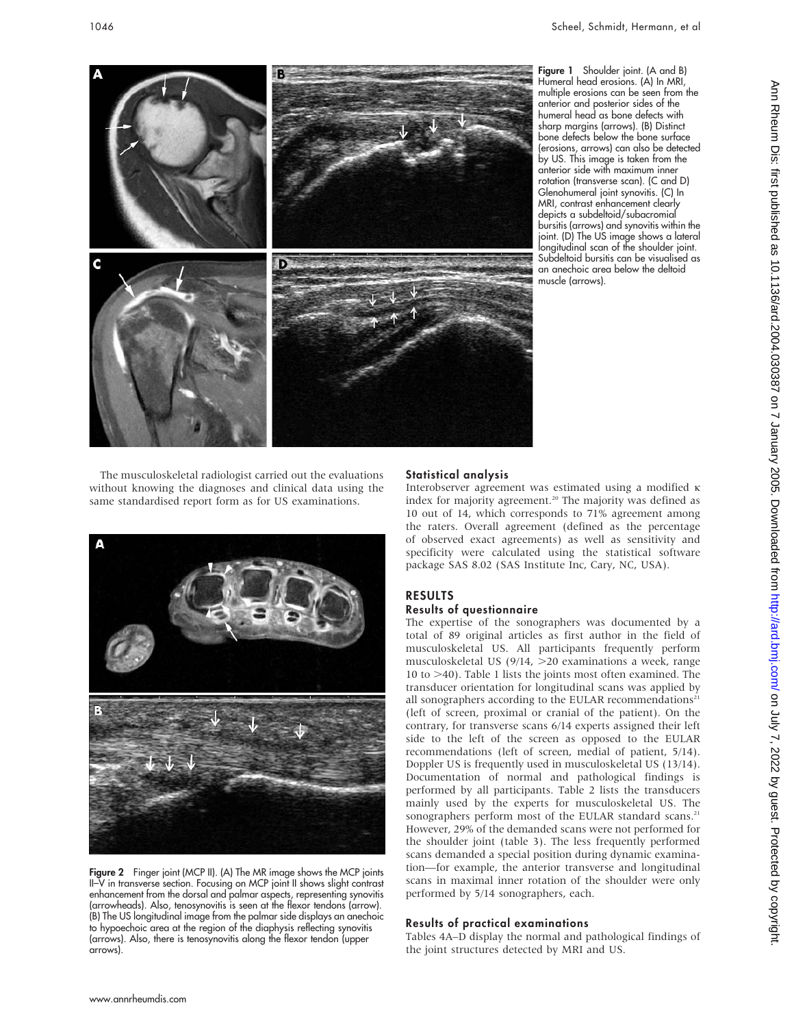

Figure 1 Shoulder joint. (A and B) Humeral head erosions. (A) In MRI, multiple erosions can be seen from the anterior and posterior sides of the humeral head as bone defects with sharp margins (arrows). (B) Distinct bone defects below the bone surface (erosions, arrows) can also be detected by US. This image is taken from the anterior side with maximum inner rotation (transverse scan). (C and D) Glenohumeral joint synovitis. (C) In MRI, contrast enhancement clearly depicts a subdeltoid/subacromial bursitis (arrows) and synovitis within the joint. (D) The US image shows a lateral longitudinal scan of the shoulder joint. Subdeltoid bursitis can be visualised as an anechoic area below the deltoid muscle (arrows).

The musculoskeletal radiologist carried out the evaluations without knowing the diagnoses and clinical data using the same standardised report form as for US examinations.



Figure 2 Finger joint (MCP II). (A) The MR image shows the MCP joints II–V in transverse section. Focusing on MCP joint II shows slight contrast enhancement from the dorsal and palmar aspects, representing synovitis (arrowheads). Also, tenosynovitis is seen at the flexor tendons (arrow). (B) The US longitudinal image from the palmar side displays an anechoic to hypoechoic area at the region of the diaphysis reflecting synovitis (arrows). Also, there is tenosynovitis along the flexor tendon (upper arrows).

#### Statistical analysis

Interobserver agreement was estimated using a modified  $\kappa$ index for majority agreement.<sup>20</sup> The majority was defined as 10 out of 14, which corresponds to 71% agreement among the raters. Overall agreement (defined as the percentage of observed exact agreements) as well as sensitivity and specificity were calculated using the statistical software package SAS 8.02 (SAS Institute Inc, Cary, NC, USA).

#### RESULTS Results of questionnaire

The expertise of the sonographers was documented by a total of 89 original articles as first author in the field of musculoskeletal US. All participants frequently perform musculoskeletal US (9/14,  $>$ 20 examinations a week, range 10 to  $>40$ ). Table 1 lists the joints most often examined. The transducer orientation for longitudinal scans was applied by all sonographers according to the EULAR recommendations<sup>21</sup> (left of screen, proximal or cranial of the patient). On the contrary, for transverse scans 6/14 experts assigned their left side to the left of the screen as opposed to the EULAR recommendations (left of screen, medial of patient, 5/14). Doppler US is frequently used in musculoskeletal US (13/14). Documentation of normal and pathological findings is performed by all participants. Table 2 lists the transducers mainly used by the experts for musculoskeletal US. The sonographers perform most of the EULAR standard scans.<sup>21</sup> However, 29% of the demanded scans were not performed for the shoulder joint (table 3). The less frequently performed scans demanded a special position during dynamic examination—for example, the anterior transverse and longitudinal scans in maximal inner rotation of the shoulder were only performed by 5/14 sonographers, each.

#### Results of practical examinations

Tables 4A–D display the normal and pathological findings of the joint structures detected by MRI and US.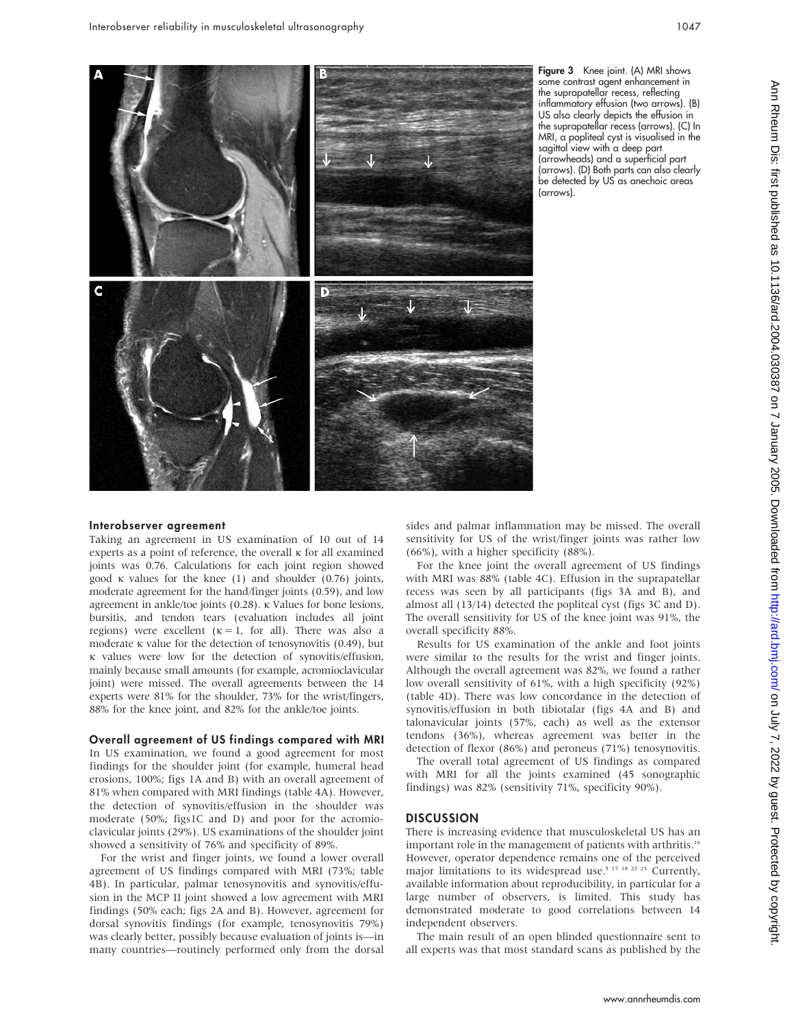

Figure 3 Knee joint. (A) MRI shows some contrast agent enhancement in the suprapatellar recess, reflecting inflammatory effusion (two arrows). (B) US also clearly depicts the effusion in the suprapatellar recess (arrows). (C) In MRI, a popliteal cyst is visualised in the sagittal view with a deep part (arrowheads) and a superficial part (arrows). (D) Both parts can also clearly be detected by US as anechoic areas (arrows).

#### Interobserver agreement

Taking an agreement in US examination of 10 out of 14 experts as a point of reference, the overall  $\kappa$  for all examined joints was 0.76. Calculations for each joint region showed good  $\kappa$  values for the knee (1) and shoulder (0.76) joints, moderate agreement for the hand/finger joints (0.59), and low agreement in ankle/toe joints (0.28).  $\kappa$  Values for bone lesions, bursitis, and tendon tears (evaluation includes all joint regions) were excellent  $(\kappa = 1,$  for all). There was also a moderate  $\kappa$  value for the detection of tenosynovitis (0.49), but k values were low for the detection of synovitis/effusion, mainly because small amounts (for example, acromioclavicular joint) were missed. The overall agreements between the 14 experts were 81% for the shoulder, 73% for the wrist/fingers, 88% for the knee joint, and 82% for the ankle/toe joints.

#### Overall agreement of US findings compared with MRI

In US examination, we found a good agreement for most findings for the shoulder joint (for example, humeral head erosions, 100%; figs 1A and B) with an overall agreement of 81% when compared with MRI findings (table 4A). However, the detection of synovitis/effusion in the shoulder was moderate (50%; figs1C and D) and poor for the acromioclavicular joints (29%). US examinations of the shoulder joint showed a sensitivity of 76% and specificity of 89%.

For the wrist and finger joints, we found a lower overall agreement of US findings compared with MRI (73%; table 4B). In particular, palmar tenosynovitis and synovitis/effusion in the MCP II joint showed a low agreement with MRI findings (50% each; figs 2A and B). However, agreement for dorsal synovitis findings (for example, tenosynovitis 79%) was clearly better, possibly because evaluation of joints is—in many countries—routinely performed only from the dorsal sides and palmar inflammation may be missed. The overall sensitivity for US of the wrist/finger joints was rather low (66%), with a higher specificity (88%).

For the knee joint the overall agreement of US findings with MRI was 88% (table 4C). Effusion in the suprapatellar recess was seen by all participants (figs 3A and B), and almost all (13/14) detected the popliteal cyst (figs 3C and D). The overall sensitivity for US of the knee joint was 91%, the overall specificity 88%.

Results for US examination of the ankle and foot joints were similar to the results for the wrist and finger joints. Although the overall agreement was 82%, we found a rather low overall sensitivity of 61%, with a high specificity (92%) (table 4D). There was low concordance in the detection of synovitis/effusion in both tibiotalar (figs 4A and B) and talonavicular joints (57%, each) as well as the extensor tendons (36%), whereas agreement was better in the detection of flexor (86%) and peroneus (71%) tenosynovitis.

The overall total agreement of US findings as compared with MRI for all the joints examined (45 sonographic findings) was 82% (sensitivity 71%, specificity 90%).

#### **DISCUSSION**

There is increasing evidence that musculoskeletal US has an important role in the management of patients with arthritis.<sup>16</sup> However, operator dependence remains one of the perceived major limitations to its widespread use.<sup>5 17 18 22 23</sup> Currently, available information about reproducibility, in particular for a large number of observers, is limited. This study has demonstrated moderate to good correlations between 14 independent observers.

The main result of an open blinded questionnaire sent to all experts was that most standard scans as published by the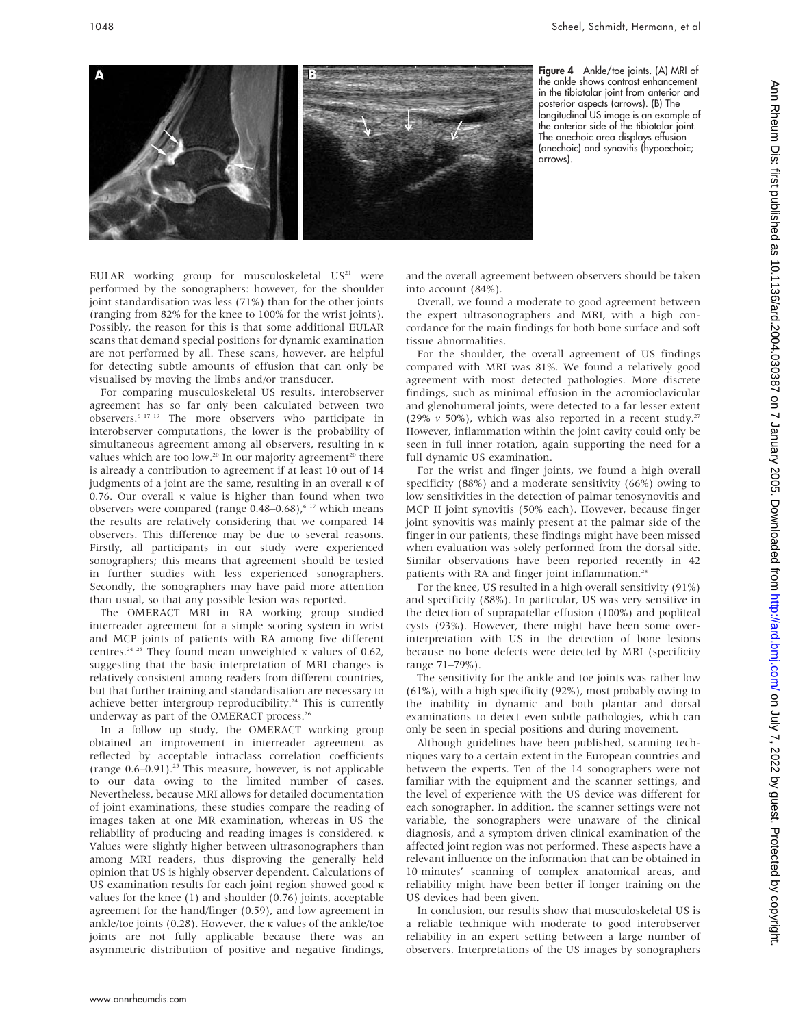

Figure 4 Ankle/toe joints. (A) MRI of the ankle shows contrast enhancement in the tibiotalar joint from anterior and posterior aspects (arrows). (B) The longitudinal US image is an example of the anterior side of the tibiotalar joint. The anechoic area displays effusion (anechoic) and synovitis (hypoechoic; arrows).

EULAR working group for musculoskeletal  $US<sup>21</sup>$  were performed by the sonographers: however, for the shoulder joint standardisation was less (71%) than for the other joints (ranging from 82% for the knee to 100% for the wrist joints). Possibly, the reason for this is that some additional EULAR scans that demand special positions for dynamic examination are not performed by all. These scans, however, are helpful for detecting subtle amounts of effusion that can only be visualised by moving the limbs and/or transducer.

For comparing musculoskeletal US results, interobserver agreement has so far only been calculated between two observers.6 17 19 The more observers who participate in interobserver computations, the lower is the probability of simultaneous agreement among all observers, resulting in  $\kappa$ values which are too low.<sup>20</sup> In our majority agreement<sup>20</sup> there is already a contribution to agreement if at least 10 out of 14 judgments of a joint are the same, resulting in an overall  $\kappa$  of 0.76. Our overall  $\kappa$  value is higher than found when two observers were compared (range  $0.48-0.68$ ),  $617$  which means the results are relatively considering that we compared 14 observers. This difference may be due to several reasons. Firstly, all participants in our study were experienced sonographers; this means that agreement should be tested in further studies with less experienced sonographers. Secondly, the sonographers may have paid more attention than usual, so that any possible lesion was reported.

The OMERACT MRI in RA working group studied interreader agreement for a simple scoring system in wrist and MCP joints of patients with RA among five different centres.<sup>24 25</sup> They found mean unweighted  $\kappa$  values of 0.62, suggesting that the basic interpretation of MRI changes is relatively consistent among readers from different countries, but that further training and standardisation are necessary to achieve better intergroup reproducibility.<sup>24</sup> This is currently underway as part of the OMERACT process.<sup>26</sup>

In a follow up study, the OMERACT working group obtained an improvement in interreader agreement as reflected by acceptable intraclass correlation coefficients (range  $0.6-0.91$ ).<sup>25</sup> This measure, however, is not applicable to our data owing to the limited number of cases. Nevertheless, because MRI allows for detailed documentation of joint examinations, these studies compare the reading of images taken at one MR examination, whereas in US the reliability of producing and reading images is considered. k Values were slightly higher between ultrasonographers than among MRI readers, thus disproving the generally held opinion that US is highly observer dependent. Calculations of US examination results for each joint region showed good  $\kappa$ values for the knee (1) and shoulder (0.76) joints, acceptable agreement for the hand/finger (0.59), and low agreement in ankle/toe joints  $(0.28)$ . However, the k values of the ankle/toe joints are not fully applicable because there was an asymmetric distribution of positive and negative findings, and the overall agreement between observers should be taken into account (84%).

Overall, we found a moderate to good agreement between the expert ultrasonographers and MRI, with a high concordance for the main findings for both bone surface and soft tissue abnormalities.

For the shoulder, the overall agreement of US findings compared with MRI was 81%. We found a relatively good agreement with most detected pathologies. More discrete findings, such as minimal effusion in the acromioclavicular and glenohumeral joints, were detected to a far lesser extent (29%  $\nu$  50%), which was also reported in a recent study.<sup>27</sup> However, inflammation within the joint cavity could only be seen in full inner rotation, again supporting the need for a full dynamic US examination.

For the wrist and finger joints, we found a high overall specificity (88%) and a moderate sensitivity (66%) owing to low sensitivities in the detection of palmar tenosynovitis and MCP II joint synovitis (50% each). However, because finger joint synovitis was mainly present at the palmar side of the finger in our patients, these findings might have been missed when evaluation was solely performed from the dorsal side. Similar observations have been reported recently in 42 patients with RA and finger joint inflammation.<sup>28</sup>

For the knee, US resulted in a high overall sensitivity (91%) and specificity (88%). In particular, US was very sensitive in the detection of suprapatellar effusion (100%) and popliteal cysts (93%). However, there might have been some overinterpretation with US in the detection of bone lesions because no bone defects were detected by MRI (specificity range 71–79%).

The sensitivity for the ankle and toe joints was rather low (61%), with a high specificity (92%), most probably owing to the inability in dynamic and both plantar and dorsal examinations to detect even subtle pathologies, which can only be seen in special positions and during movement.

Although guidelines have been published, scanning techniques vary to a certain extent in the European countries and between the experts. Ten of the 14 sonographers were not familiar with the equipment and the scanner settings, and the level of experience with the US device was different for each sonographer. In addition, the scanner settings were not variable, the sonographers were unaware of the clinical diagnosis, and a symptom driven clinical examination of the affected joint region was not performed. These aspects have a relevant influence on the information that can be obtained in 10 minutes' scanning of complex anatomical areas, and reliability might have been better if longer training on the US devices had been given.

In conclusion, our results show that musculoskeletal US is a reliable technique with moderate to good interobserver reliability in an expert setting between a large number of observers. Interpretations of the US images by sonographers